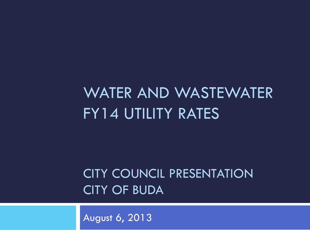# WATER AND WASTEWATER FY14 UTILITY RATES

#### CITY COUNCIL PRESENTATION CITY OF BUDA

August 6, 2013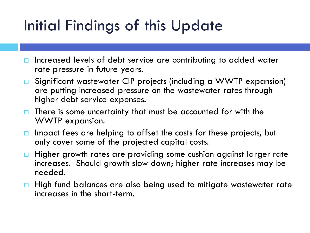### Initial Findings of this Update

- $\Box$  Increased levels of debt service are contributing to added water rate pressure in future years.
- Significant wastewater CIP projects (including a WWTP expansion) are putting increased pressure on the wastewater rates through higher debt service expenses.
- $\Box$  There is some uncertainty that must be accounted for with the WWTP expansion.
- $\Box$  Impact fees are helping to offset the costs for these projects, but only cover some of the projected capital costs.
- $\Box$  Higher growth rates are providing some cushion against larger rate increases. Should growth slow down; higher rate increases may be needed.
- $\Box$  High fund balances are also being used to mitigate wastewater rate increases in the short-term.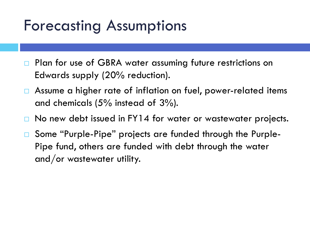#### Forecasting Assumptions

- Plan for use of GBRA water assuming future restrictions on Edwards supply (20% reduction).
- Assume a higher rate of inflation on fuel, power-related items and chemicals (5% instead of 3%).
- No new debt issued in FY14 for water or wastewater projects.
- Some "Purple-Pipe" projects are funded through the Purple-Pipe fund, others are funded with debt through the water and/or wastewater utility.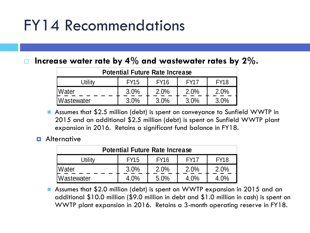#### FY14 Recommendations

#### **Increase water rate by 4% and wastewater rates by 2%.**

| <b>Potential Future Rate Increase</b>                               |         |      |      |      |  |  |  |  |  |  |
|---------------------------------------------------------------------|---------|------|------|------|--|--|--|--|--|--|
| <b>FY18</b><br><b>FY16</b><br><b>FY17</b><br><b>FY15</b><br>Jtility |         |      |      |      |  |  |  |  |  |  |
| <b>Water</b>                                                        | 3.0%    | 2.0% | 2.0% | 2.0% |  |  |  |  |  |  |
| <b>Wastewater</b>                                                   | $3.0\%$ | 3.0% | 3.0% | 3.0% |  |  |  |  |  |  |

 Assumes that \$2.5 million (debt) is spent on conveyance to Sunfield WWTP in 2015 and an additional \$2.5 million (debt) is spent on Sunfield WWTP plant expansion in 2016. Retains a significant fund balance in FY18.

#### $\blacksquare$  Alternative

| <b>Potential Future Rate Increase</b> |                                                          |      |      |      |  |  |  |  |  |  |
|---------------------------------------|----------------------------------------------------------|------|------|------|--|--|--|--|--|--|
| Utilitv                               | <b>FY18</b><br><b>FY16</b><br><b>FY17</b><br><b>FY15</b> |      |      |      |  |  |  |  |  |  |
| <b>Water</b>                          | 3.0%                                                     | 2.0% | 2.0% | 2.0% |  |  |  |  |  |  |
| Wastewater                            | 4.0%                                                     | 5.0% | 4.0% | 4.0% |  |  |  |  |  |  |

 Assumes that \$2.0 million (debt) is spent on WWTP expansion in 2015 and an additional \$10.0 million (\$9.0 million in debt and \$1.0 million in cash) is spent on WWTP plant expansion in 2016. Retains a 3-month operating reserve in FY18.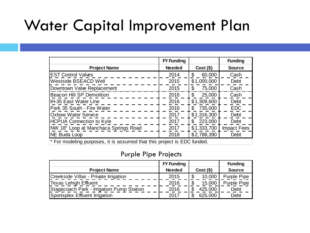#### Water Capital Improvement Plan

|                                                                         | <b>FY Funding</b> |                | <b>Funding</b>     |
|-------------------------------------------------------------------------|-------------------|----------------|--------------------|
| <b>Project Name</b>                                                     | <b>Needed</b>     | $Cost($ \$)    | <b>Source</b>      |
| <b>EST Control Valves</b>                                               | 2014              | 60,000<br>\$   | Cash               |
| Westside BSEACD Well                                                    | 2015              | \$1,000,000    | Debt               |
| Downtown Valve Replacement                                              | 2015              | 75,000<br>\$   | Cash               |
| <b>Beacon Hill SP Demolition</b>                                        | 2016              | 25,000<br>\$   | Cash               |
| <b>IH-35 East Water Line</b>                                            | 2016              | \$1,309,600    | Debt               |
| Park 35 South - Fire Water                                              | 2016              | 735,000<br>\$. | <b>EDC</b>         |
| <b>Oxbow Water Service</b>                                              | 2017              | \$1,316,300    | Debt               |
| <b>HCPUA Connection to Kyle</b>                                         | 2017              | 223,000<br>\$  | Debt               |
| NW 18" Loop at Manchaca Springs Road                                    | 2017              | \$1,333,700    | <b>Impact Fees</b> |
| NE Buda Loop                                                            | 2018              | \$2,788,390    | Debt               |
| * For modeling purposes, it is assumed that this project is EDC funded. |                   |                |                    |

#### Purple Pipe Projects

|                                           | <b>FY Funding</b> |             | <b>Funding</b>     |
|-------------------------------------------|-------------------|-------------|--------------------|
| <b>Project Name</b>                       | <b>Needed</b>     | $Cost($ \$) | <b>Source</b>      |
| Creekside Villas - Private Irrigation     | 2015              | 10,000      | Purple Pipe        |
| <b>Texas Lehigh Effluent</b>              | 2016              | 15,000      | <b>Purple Pipe</b> |
| Stagecoach Park - Irrigation Pump Station | 2016              | 425,000     | Debt               |
| Sportsplex Effluent Irrigation            | 2017              | 625,000     | Debt               |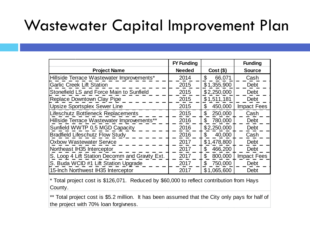#### Wastewater Capital Improvement Plan

|                                                | <b>FY Funding</b> |                           | <b>Funding</b>     |
|------------------------------------------------|-------------------|---------------------------|--------------------|
| <b>Project Name</b>                            | <b>Needed</b>     | $Cost($ \$)               | <b>Source</b>      |
| Hillside Terrace Wastewater Improvements*      | 2014              | \$<br>66,071              | Cash               |
| <b>Garlic Creek Lift Station</b>               | 2015              | \$1,355,900               | Debt               |
| Stonefield LS and Force Main to Sunfield       | 2015              | \$2,250,000               | Debt               |
| Replace Downtown Clay Pipe                     | 2015              | \$1,511,181               | <b>Debt</b>        |
| <b>Upsize Sportsplex Sewer Line</b>            | 2015              | 450,000<br>\$             | <b>Impact Fees</b> |
| Lifeschutz Bottleneck Replacements             | 2015              | 250,000<br>$\mathfrak{L}$ | Cash               |
| Hillside Terrace Wastewater Improvements**     | 2016              | 780,000<br>\$             | Debt               |
| Sunfield WWTP 0.5 MGD Capacity                 | 2016              | \$2,250,000               | Debt               |
| <b>Bradfield Lifeschutz Flow Study</b>         | 2016              | 40,000<br>\$              | Cash               |
| <b>Oxbow Wastewater Service</b>                | 2017              | \$1,478,800               | Debt               |
| Northeast IH35 Interceptor                     | 2017              | 466,200<br>\$             | Debt               |
| S. Loop 4 Lift Station Decomm and Gravity Ext. | 2017              | \$<br>800,000             | <b>Impact Fees</b> |
| S. Buda WCID #1 Lift Station Upgrade           | 2017              | 750,000<br>\$             | <b>Debt</b>        |
| 15-Inch Northwest IH35 Interceptor             | 2017              | \$1,065,600               | Debt               |

\* Total project cost is \$126,071. Reduced by \$60,000 to reflect contribution from Hays County.

\*\* Total project cost is \$5.2 million. It has been assumed that the City only pays for half of the project with 70% loan forgivness.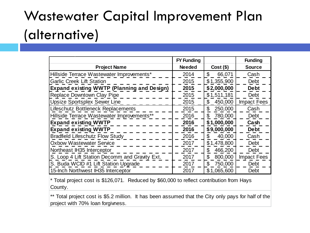### Wastewater Capital Improvement Plan (alternative)

|                                                   | <b>FY Funding</b> |                          | <b>Funding</b>     |
|---------------------------------------------------|-------------------|--------------------------|--------------------|
| <b>Project Name</b>                               | <b>Needed</b>     | $Cost($ \$)              | <b>Source</b>      |
| Hillside Terrace Wastewater Improvements*         | 2014              | $\mathfrak{L}$<br>66,071 | Cash               |
| <b>Garlic Creek Lift Station</b>                  | 2015              | \$1,355,900              | <b>Debt</b>        |
| <b>Expand existing WWTP (Planning and Design)</b> | 2015              | \$2,000,000              | <b>Debt</b>        |
| Replace Downtown Clay Pipe                        | 2015              | \$1,511,181              | <b>Debt</b>        |
| <b>Upsize Sportsplex Sewer Line</b>               | 2015              | \$<br>450,000            | <b>Impact Fees</b> |
| Lifeschutz Bottleneck Replacements                | 2015              | \$<br>250,000            | Cash               |
| Hillside Terrace Wastewater Improvements**        | 2016              | \$<br>780,000            | Debt               |
| <b>Expand existing WWTP</b>                       | 2016              | \$1,000,000              | Cash               |
| <b>Expand existing WWTP</b>                       | 2016              | \$9,000,000              | <b>Debt</b>        |
| <b>Bradfield Lifeschutz Flow Study</b>            | 2016              | 40,000<br>\$             | Cash               |
| <b>Oxbow Wastewater Service</b>                   | 2017              | \$1,478,800              | Debt               |
| Northeast IH35 Interceptor                        | 2017              | 466,200<br>\$            | Debt               |
| S. Loop 4 Lift Station Decomm and Gravity Ext.    | 2017              | \$<br>800,000            | <b>Impact Fees</b> |
| S. Buda WCID #1 Lift Station Upgrade              | 2017              | 750,000<br>\$            | Debt               |
| 15-Inch Northwest IH35 Interceptor                | 2017              | \$1,065,600              | Debt               |

\* Total project cost is \$126,071. Reduced by \$60,000 to reflect contribution from Hays County.

\*\* Total project cost is \$5.2 million. It has been assumed that the City only pays for half of the project with 70% loan forgivness.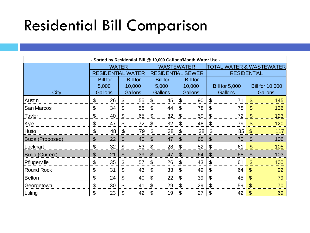# Residential Bill Comparison

| - Sorted by Residential Bill @ 10,000 Gallons/Month Water Use - |                                    |                 |    |                 |                           |                          |                 |                |               |                          |                        |     |  |
|-----------------------------------------------------------------|------------------------------------|-----------------|----|-----------------|---------------------------|--------------------------|-----------------|----------------|---------------|--------------------------|------------------------|-----|--|
|                                                                 | <b>WATER</b>                       |                 |    |                 |                           | <b>WASTEWATER</b>        |                 |                |               | TOTAL WATER & WASTEWATER |                        |     |  |
|                                                                 | <b>RESIDENTIAL</b><br><b>WATER</b> |                 |    |                 |                           | <b>RESIDENTIAL SEWER</b> |                 |                |               | <b>RESIDENTIAL</b>       |                        |     |  |
|                                                                 |                                    | <b>Bill for</b> |    | <b>Bill for</b> |                           | <b>Bill for</b>          | <b>Bill for</b> |                |               |                          |                        |     |  |
|                                                                 |                                    | 5,000           |    | 10,000          |                           | 5,000                    | 10,000          |                |               | <b>Bill for 5,000</b>    | <b>Bill for 10,000</b> |     |  |
| <b>City</b>                                                     |                                    | <b>Gallons</b>  |    | <b>Gallons</b>  |                           | Gallons                  |                 | <b>Gallons</b> |               | Gallons                  | Gallons                |     |  |
| Austin                                                          | \$                                 | 26              | \$ | 55              | S                         | 45                       | \$              | 90             | \$            | 71                       | \$                     | 145 |  |
| San Marcos                                                      | \$                                 | 34              | \$ | 58              | \$                        | 44                       | \$              | 78             | \$            | 78                       | $\mathcal{S}$          | 136 |  |
| Taylor                                                          | \$                                 | 40              | \$ | 65              | \$                        | 32                       | \$              | 59             | \$            | 72                       |                        | 123 |  |
| Kyle                                                            | \$                                 | 47              | \$ | 72              | \$                        | 32                       |                 | 48             | \$            | 79                       | \$                     | 120 |  |
| Hutto                                                           | \$                                 | 48              | \$ | 79              | \$                        | 38                       | <sup>\$</sup>   | 38             | \$            | 85                       | \$                     | 117 |  |
| <b>Buda (Proposed)</b>                                          | \$                                 | 22              | \$ | 40              | $\boldsymbol{\mathsf{S}}$ | 47                       | \$              | 65             | \$            | 70                       | $\mathfrak{F}$         | 106 |  |
| Lockhart                                                        | \$                                 | 32              | \$ | 53              | \$                        | 28                       | \$              | 52             | \$            | 61                       | \$                     | 105 |  |
| <b>Buda (Current)</b>                                           | \$                                 | 21              | \$ | 39              | \$                        | 47                       | \$.             | 64             | <sup>\$</sup> | 68                       | $\mathfrak{F}$         | 103 |  |
| Pflugerville                                                    | \$                                 | 35              | \$ | 57              | S                         | 26                       | S               | 43             | \$            | 61                       |                        | 100 |  |
| Round Rock                                                      | \$                                 | 31              | \$ | 43              | \$                        | 33                       |                 | 49             | \$            | 64                       | \$                     | 92  |  |
| <b>Belton</b>                                                   | \$                                 | 24              | \$ | 40              | S                         | 22                       | \$              | 39             | \$            | 45                       | \$                     | 79  |  |
| Georgetown                                                      | \$                                 | 30              | \$ | 41              | \$                        | 29                       | S               | 29             | \$            | 59                       | $\mathcal{S}$          | 70  |  |
| Luling                                                          | \$                                 | 23              | \$ | 42              | \$                        | 19                       | \$              | 27             | \$            | 42                       | \$                     | 69  |  |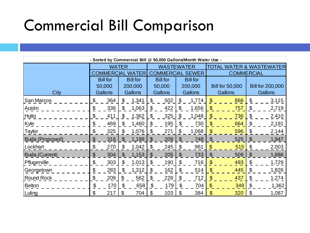#### Commercial Bill Comparison

| - Sorted by Commercial Bill @ 50,000 Gallons/Month Water Use - |                                   |                                    |    |                |                                    |                         |    |                |                   |                          |                           |                         |  |
|----------------------------------------------------------------|-----------------------------------|------------------------------------|----|----------------|------------------------------------|-------------------------|----|----------------|-------------------|--------------------------|---------------------------|-------------------------|--|
|                                                                | <b>WATER</b>                      |                                    |    |                |                                    | <b>WASTEWATER</b>       |    |                |                   | TOTAL WATER & WASTEWATER |                           |                         |  |
|                                                                | <b>COMMERCIAL</b><br><b>WATER</b> |                                    |    |                |                                    | <b>COMMERCIAL SEWER</b> |    |                | <b>COMMERCIAL</b> |                          |                           |                         |  |
|                                                                |                                   | <b>Bill for</b><br><b>Bill for</b> |    |                | <b>Bill for</b><br><b>Bill for</b> |                         |    |                |                   |                          |                           |                         |  |
|                                                                |                                   | 50,000                             |    | 200,000        |                                    | 50,000                  |    | 200,000        |                   | <b>Bill for 50,000</b>   |                           | <b>Bill for 200,000</b> |  |
| City                                                           |                                   | Gallons                            |    | <b>Gallons</b> |                                    | Gallons                 |    | <b>Gallons</b> |                   | Gallons                  | Gallons                   |                         |  |
| San Marcos                                                     | \$                                | 364                                | \$ | 1,341          | \$                                 | 502                     | \$ | 1,774          | \$                | 866                      | \$                        | 3,115                   |  |
| Austin                                                         | \$                                | 336                                | \$ | 1,063          | \$                                 | 422                     | \$ | 1,656          | \$                | 757                      | \$                        | 2,719                   |  |
| Hutto                                                          | \$                                | 411                                | \$ | 1,362          | \$                                 | 325                     | \$ | 1,048          | \$                | 736                      | \$                        | 2,410                   |  |
| Kyle                                                           | $\overline{\Phi}$                 | 469                                | \$ | 1,460          | \$                                 | 195                     | æ. | 730            | \$                | 664                      | \$                        | 2,191                   |  |
| Taylor                                                         | \$                                | 325                                | \$ | 1,076          | \$                                 | 271                     | \$ | 1,068          | \$                | 596                      | \$                        | 2,144                   |  |
| Buda (Proposed)                                                | $\boldsymbol{\theta}$             | 316                                | \$ | 1,199          | $\boldsymbol{\mathsf{S}}$          | 209                     | \$ | 748            | \$                | 525                      | $\boldsymbol{\mathsf{S}}$ | 1,947                   |  |
| Lockhart                                                       | \$                                | 270                                | \$ | 1,042          | \$                                 | 245                     | \$ | 961            | \$                | 515                      | \$                        | 2,003                   |  |
| <b>Buda (Current)</b>                                          | \$                                | 304                                | \$ | 1,153          | $\boldsymbol{\mathsf{S}}$          | 205                     | S  | 733            | \$                | 509                      | \$                        | 1,886                   |  |
| Pflugerville                                                   | \$                                | 303                                | \$ | 1,013          | \$                                 | 190                     | \$ | 716            | \$                | 493                      | \$                        | 1,729                   |  |
| Georgetown                                                     | \$                                | 283                                | \$ | 1,312          | \$                                 | 162                     | \$ | 514            | \$                | 445                      | \$                        | 1,826                   |  |
| Round Rock                                                     | \$                                | 209                                | \$ | 562            | \$                                 | 228                     | \$ | 712            | \$                | 437                      | \$                        | 1,274                   |  |
| <b>Belton</b>                                                  | \$                                | 170                                | \$ | 658            | \$                                 | 179                     | \$ | 704            | $\mathbf{\$}$     | 349                      | \$                        | 1,362                   |  |
| Luling                                                         | \$                                | 217                                | \$ | 704            | \$                                 | 103                     | \$ | 384            | \$                | 320                      | \$                        | 1,087                   |  |